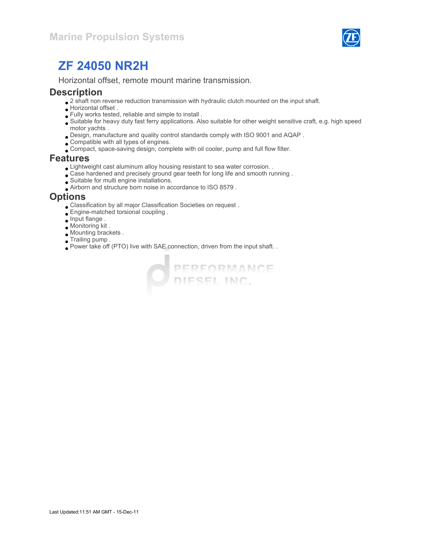

Horizontal offset, remote mount marine transmission.

#### **Description**

- $\bullet$  2 shaft non reverse reduction transmission with hydraulic clutch mounted on the input shaft.
- Horizontal offset .
- Fully works tested, reliable and simple to install .
- Suitable for heavy duty fast ferry applications. Also suitable for other weight sensitive craft, e.g. high speed motor yachts .
- Design, manufacture and quality control standards comply with ISO 9001 and AQAP .
- Compatible with all types of engines.
- Compact, space-saving design, complete with oil cooler, pump and full flow filter.

#### Features

- Lightweight cast aluminum alloy housing resistant to sea water corrosion. .
- Case hardened and precisely ground gear teeth for long life and smooth running .
- Suitable for multi engine installations.
- Airborn and structure born noise in accordance to ISO 8579 .

#### **Options**

- Classification by all major Classification Societies on request .
- Engine-matched torsional coupling .
- Input flange .
- Monitoring kit .
- Mounting brackets .
- Trailing pump .
- Power take off (PTO) live with SAE connection, driven from the input shaft. .

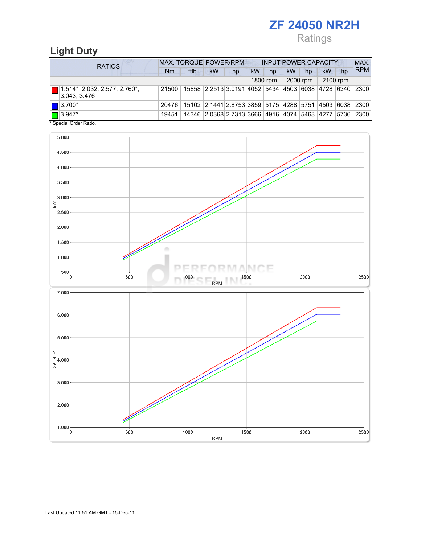# Ratings

## Light Duty

| <b>RATIOS</b>                                         | <b>MAX. TORQUE POWER/RPM</b> |                                                        |                                                   |    | <b>INPUT POWER CAPACITY</b> |          |    |          |          |    | MAX.       |
|-------------------------------------------------------|------------------------------|--------------------------------------------------------|---------------------------------------------------|----|-----------------------------|----------|----|----------|----------|----|------------|
|                                                       | Nm                           | ftlb                                                   | kW                                                | hp | <b>kW</b>                   | hp       | kW | hp       | kW       | hp | <b>RPM</b> |
|                                                       |                              |                                                        |                                                   |    |                             | 1800 rpm |    | 2000 rpm | 2100 rpm |    |            |
| $\Box$ 1.514*, 2.032, 2.577, 2.760*,<br> 3.043, 3.476 | 21500                        |                                                        | 15858 2.2513 3.0191 4052 5434 4503 6038 4728 6340 |    |                             |          |    |          |          |    | 2300       |
| $\blacksquare$ 3.700*                                 | 20476                        | 15102 2.1441 2.8753 3859 5175 4288 5751 4503 6038 2300 |                                                   |    |                             |          |    |          |          |    |            |
| $\Box$ 3.947*                                         | 19451                        |                                                        | 14346 2.0368 2.7313 3666 4916 4074 5463 4277 5736 |    |                             |          |    |          |          |    | 2300       |

\* Special Order Ratio.

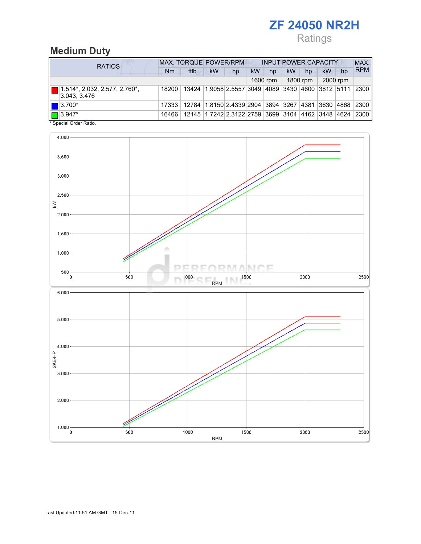# Ratings

## Medium Duty

| <b>RATIOS</b>                                        | MAX. TORQUE POWER/RPM |                                                                |           |                                                                    | <b>INPUT POWER CAPACITY</b> |          |    |          |    |          | MAX.       |
|------------------------------------------------------|-----------------------|----------------------------------------------------------------|-----------|--------------------------------------------------------------------|-----------------------------|----------|----|----------|----|----------|------------|
|                                                      | Nm                    | ftlb                                                           | <b>kW</b> | hp                                                                 | kW                          | hp       | kW | hp       | kW | hp       | <b>RPM</b> |
|                                                      |                       |                                                                |           |                                                                    |                             | 1600 rpm |    | 1800 rpm |    | 2000 rpm |            |
| $\Box$ 1.514*, 2.032, 2.577, 2.760*,<br>3.043, 3.476 | 18200                 |                                                                |           | 13424  1.9058 2.5557 3049  4089   3430   4600   3812   5111   2300 |                             |          |    |          |    |          |            |
| $\Box$ 3.700*                                        | 17333                 | 12784  1.8150 2.4339 2904  3894  3267  4381  3630  4868   2300 |           |                                                                    |                             |          |    |          |    |          |            |
| $\Box$ 3.947*                                        | 16466                 |                                                                |           | 12145 1.7242 2.3122 2759 3699 3104 4162 3448 4624                  |                             |          |    |          |    |          | 2300       |

Special Order Ratio.

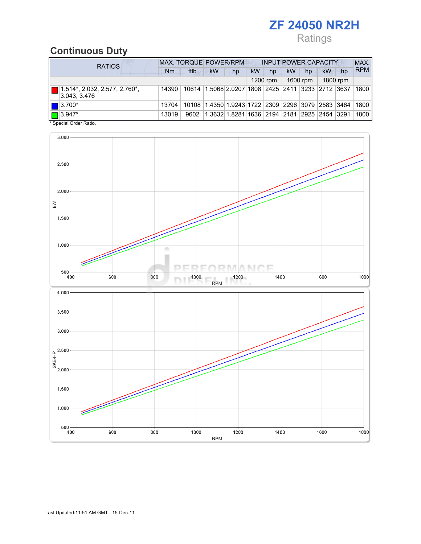# Ratings

## Continuous Duty

| <b>RATIOS</b>                                  | MAX. TORQUE POWER/RPM<br><b>INPUT POWER CAPACITY</b> |       |           |                                                                   |    |            |           |          |          |    | MAX.       |  |
|------------------------------------------------|------------------------------------------------------|-------|-----------|-------------------------------------------------------------------|----|------------|-----------|----------|----------|----|------------|--|
|                                                | Nm                                                   | ftlb  | <b>kW</b> | hp                                                                | kW | hp         | <b>kW</b> | hp       | kW       | hp | <b>RPM</b> |  |
|                                                |                                                      |       |           |                                                                   |    | $1200$ rpm |           | 1600 rpm | 1800 rpm |    |            |  |
| 1.514*, 2.032, 2.577, 2.760*,<br>3.043, 3.476  | 14390                                                |       |           | 10614   1.5068   2.0207   1808   2425   2411   3233   2712   3637 |    |            |           |          |          |    | 1800       |  |
| $\blacksquare$ 3.700*                          | 13704                                                | 10108 |           | 1.4350 1.9243 1722 2309 2296 3079 2583 3464                       |    |            |           |          |          |    | 1800       |  |
| $\blacksquare$ 3.947*<br>* Concial Order Datio | 13019                                                | 9602  |           | 1.3632 1.8281 1636 2194 2181 2925 2454 3291                       |    |            |           |          |          |    | 1800       |  |



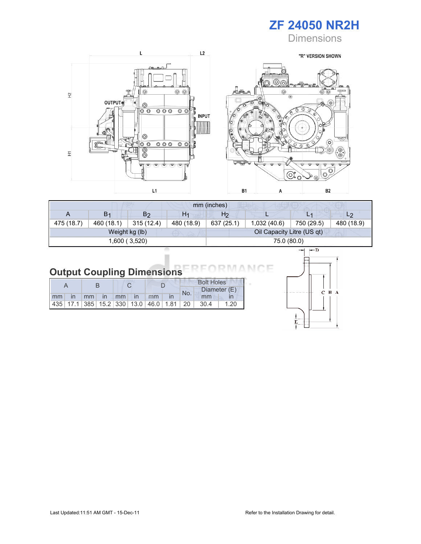

**Dimensions** 



|            | mm (inches)    |                |                |                |                            |            |                |  |  |
|------------|----------------|----------------|----------------|----------------|----------------------------|------------|----------------|--|--|
| A          | B <sub>1</sub> | B2             | H <sub>1</sub> | H <sub>2</sub> |                            | L1         | L <sub>2</sub> |  |  |
| 475 (18.7) | 460 (18.1)     | 315(12.4)      | 480 (18.9)     | 637 (25.1)     | 1,032(40.6)                | 750 (29.5) | 480 (18.9)     |  |  |
|            |                | Weight kg (lb) |                |                | Oil Capacity Litre (US qt) |            |                |  |  |
|            |                | 1,600 (3,520)  |                |                | 75.0 (80.0)                |            |                |  |  |

#### Output Coupling Dimensions N (

|  |  |  |                       |  |     | <b>Bolt Holes</b>                                |      |  |  |  |
|--|--|--|-----------------------|--|-----|--------------------------------------------------|------|--|--|--|
|  |  |  |                       |  | No. | Diameter (E)                                     |      |  |  |  |
|  |  |  | Imm in mm in mm in mm |  |     | mm                                               |      |  |  |  |
|  |  |  |                       |  |     | $ 435 $ 17.1 385 15.2 330 13.0 46.0 1.81 20 30.4 | 1.20 |  |  |  |



Е